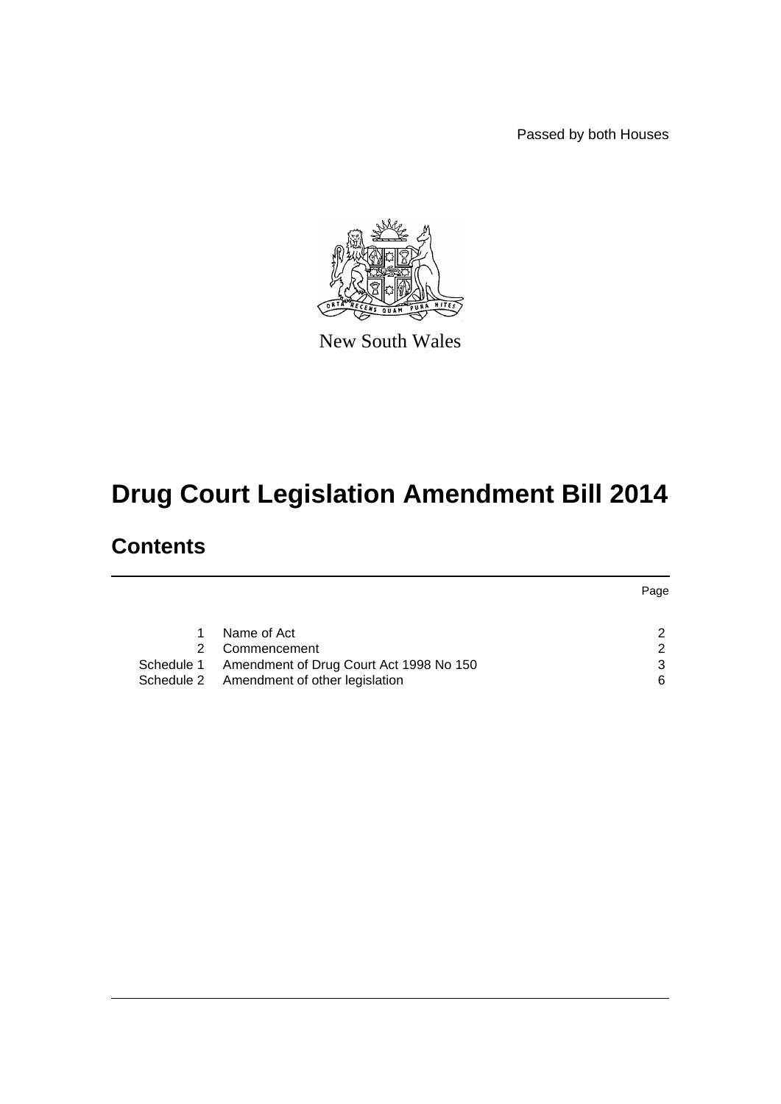Passed by both Houses



New South Wales

# **Drug Court Legislation Amendment Bill 2014**

# **Contents**

|   |                                                    | Page |
|---|----------------------------------------------------|------|
|   |                                                    |      |
|   | Name of Act                                        |      |
| 2 | Commencement                                       | ົ    |
|   | Schedule 1 Amendment of Drug Court Act 1998 No 150 |      |
|   | Schedule 2 Amendment of other legislation          | ิค   |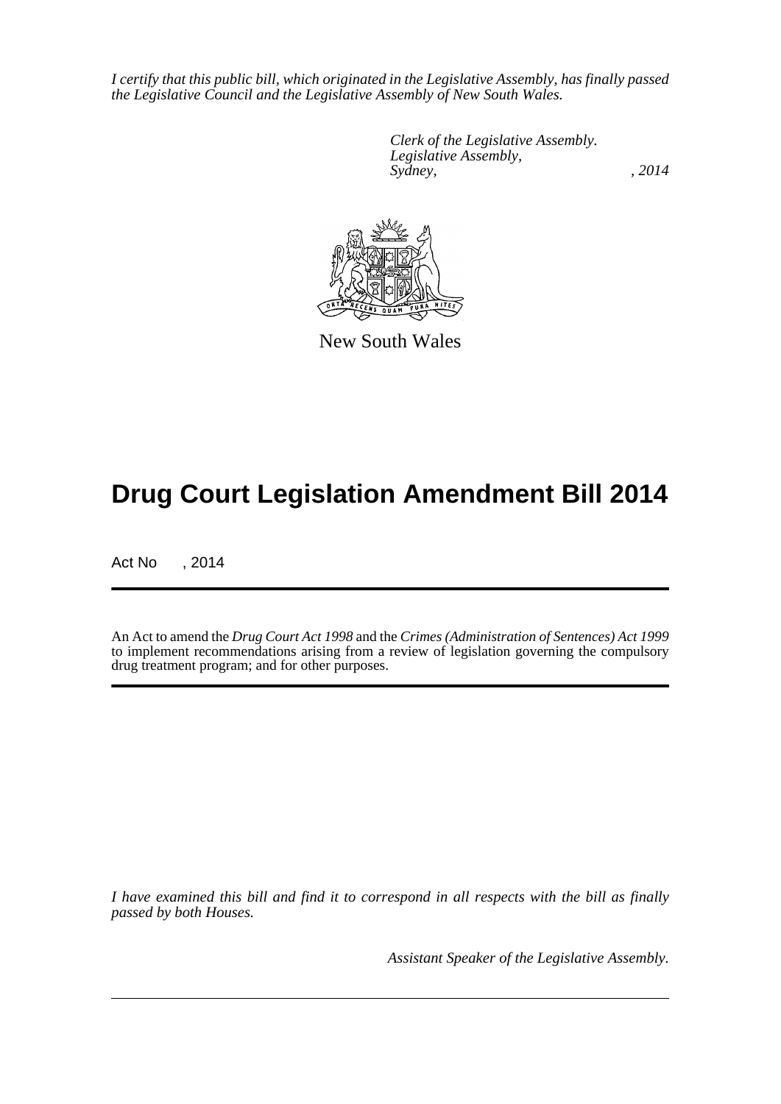*I certify that this public bill, which originated in the Legislative Assembly, has finally passed the Legislative Council and the Legislative Assembly of New South Wales.*

> *Clerk of the Legislative Assembly. Legislative Assembly, Sydney,* , 2014



New South Wales

# **Drug Court Legislation Amendment Bill 2014**

Act No , 2014

An Act to amend the *Drug Court Act 1998* and the *Crimes (Administration of Sentences) Act 1999* to implement recommendations arising from a review of legislation governing the compulsory drug treatment program; and for other purposes.

*I have examined this bill and find it to correspond in all respects with the bill as finally passed by both Houses.*

*Assistant Speaker of the Legislative Assembly.*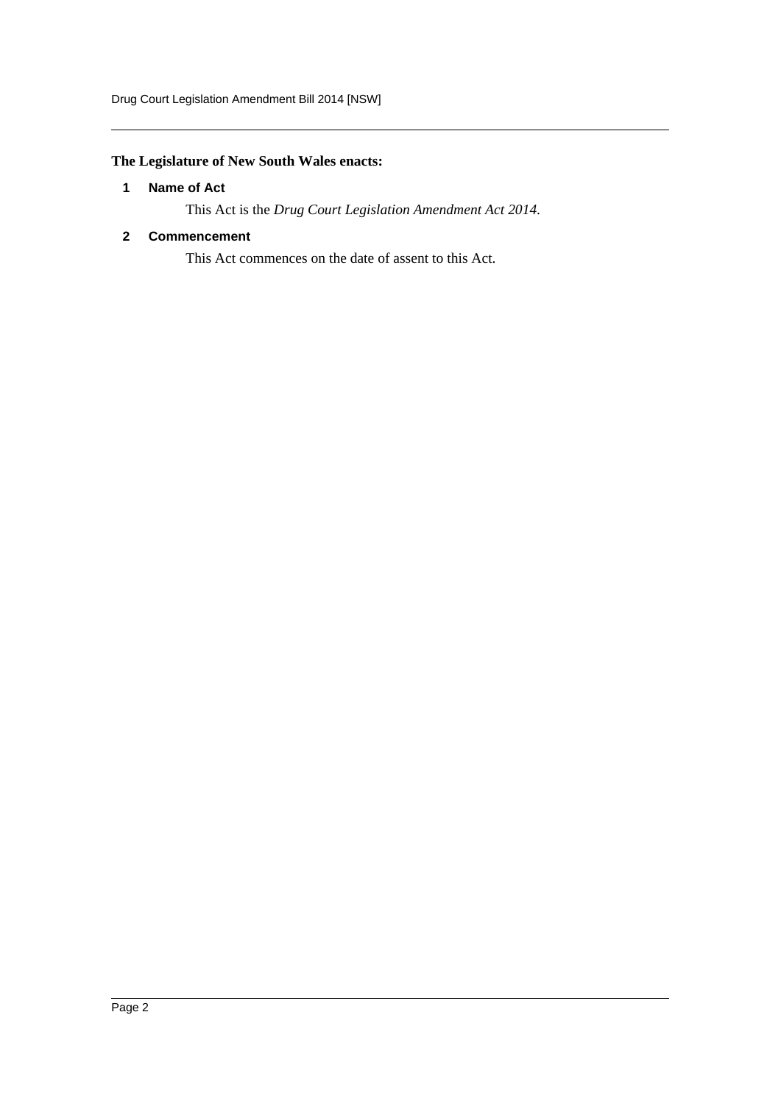# <span id="page-2-0"></span>**The Legislature of New South Wales enacts:**

# **1 Name of Act**

This Act is the *Drug Court Legislation Amendment Act 2014*.

# <span id="page-2-1"></span>**2 Commencement**

This Act commences on the date of assent to this Act.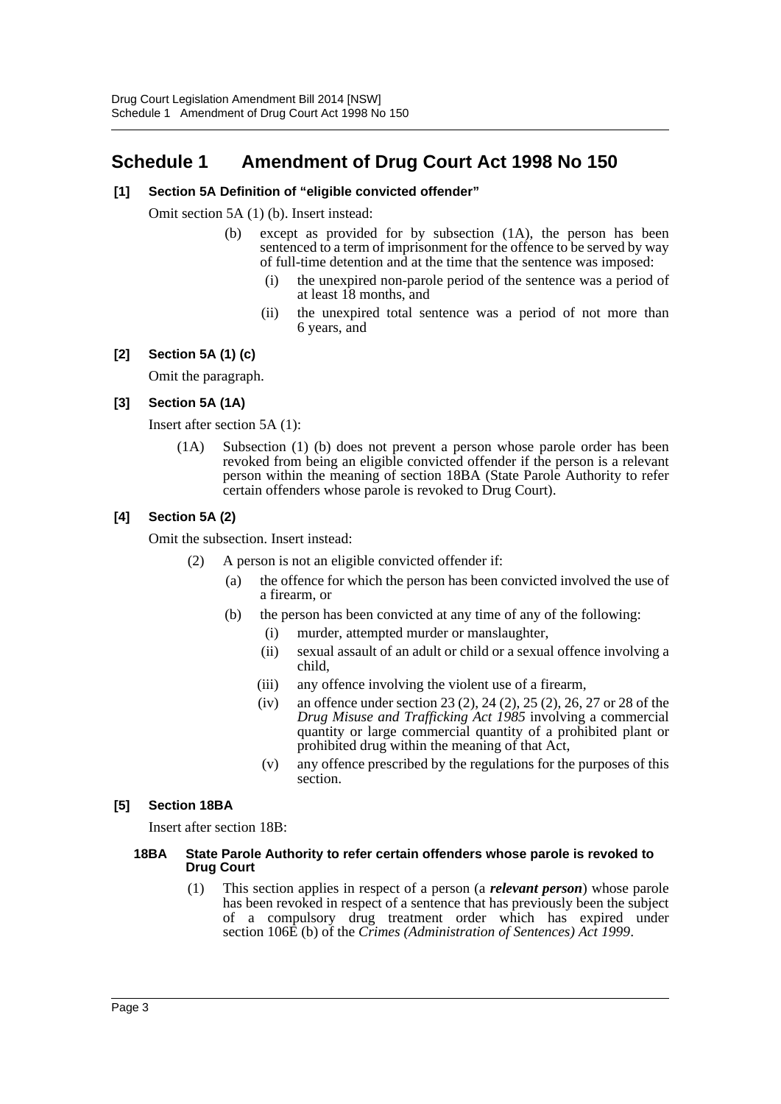# <span id="page-3-0"></span>**Schedule 1 Amendment of Drug Court Act 1998 No 150**

# **[1] Section 5A Definition of "eligible convicted offender"**

Omit section 5A (1) (b). Insert instead:

- (b) except as provided for by subsection (1A), the person has been sentenced to a term of imprisonment for the offence to be served by way of full-time detention and at the time that the sentence was imposed:
	- (i) the unexpired non-parole period of the sentence was a period of at least 18 months, and
	- (ii) the unexpired total sentence was a period of not more than 6 years, and

# **[2] Section 5A (1) (c)**

Omit the paragraph.

# **[3] Section 5A (1A)**

Insert after section 5A (1):

(1A) Subsection (1) (b) does not prevent a person whose parole order has been revoked from being an eligible convicted offender if the person is a relevant person within the meaning of section 18BA (State Parole Authority to refer certain offenders whose parole is revoked to Drug Court).

# **[4] Section 5A (2)**

Omit the subsection. Insert instead:

- (2) A person is not an eligible convicted offender if:
	- (a) the offence for which the person has been convicted involved the use of a firearm, or
	- (b) the person has been convicted at any time of any of the following:
		- (i) murder, attempted murder or manslaughter,
		- (ii) sexual assault of an adult or child or a sexual offence involving a child,
		- (iii) any offence involving the violent use of a firearm,
		- (iv) an offence under section 23 (2), 24 (2), 25 (2), 26, 27 or 28 of the *Drug Misuse and Trafficking Act 1985* involving a commercial quantity or large commercial quantity of a prohibited plant or prohibited drug within the meaning of that Act,
		- (v) any offence prescribed by the regulations for the purposes of this section.

#### **[5] Section 18BA**

Insert after section 18B:

#### **18BA State Parole Authority to refer certain offenders whose parole is revoked to Drug Court**

(1) This section applies in respect of a person (a *relevant person*) whose parole has been revoked in respect of a sentence that has previously been the subject of a compulsory drug treatment order which has expired under section 106E (b) of the *Crimes (Administration of Sentences) Act 1999*.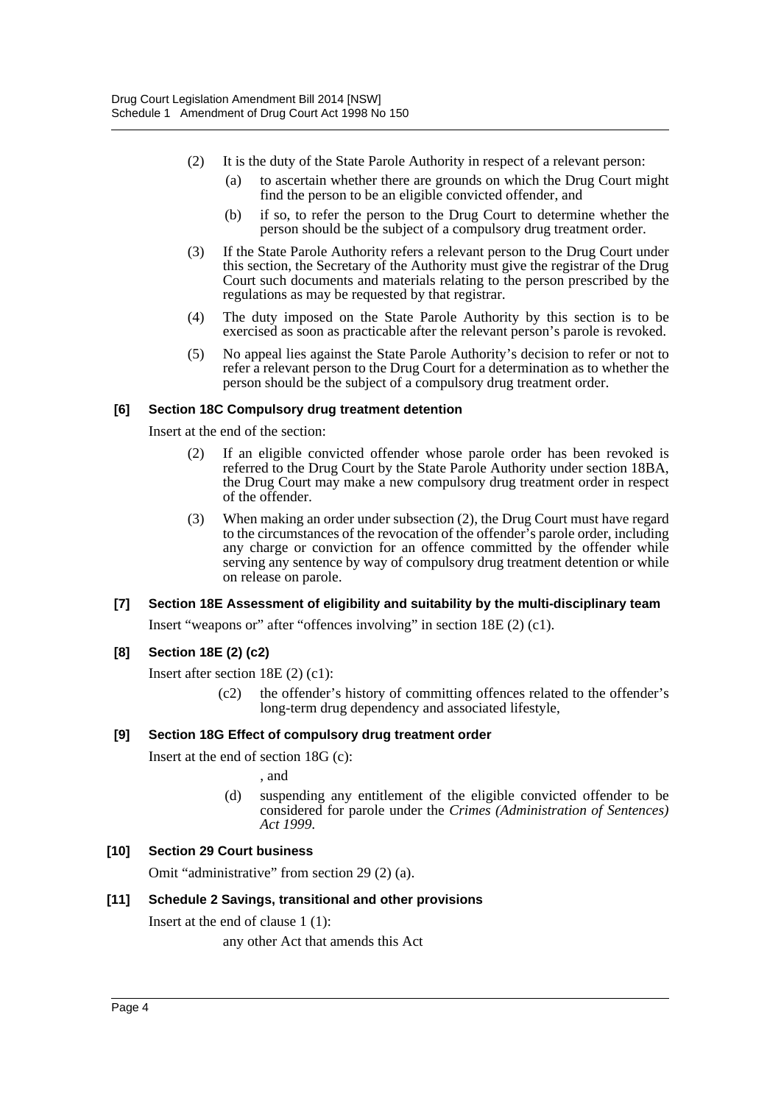- (2) It is the duty of the State Parole Authority in respect of a relevant person:
	- (a) to ascertain whether there are grounds on which the Drug Court might find the person to be an eligible convicted offender, and
	- (b) if so, to refer the person to the Drug Court to determine whether the person should be the subject of a compulsory drug treatment order.
- (3) If the State Parole Authority refers a relevant person to the Drug Court under this section, the Secretary of the Authority must give the registrar of the Drug Court such documents and materials relating to the person prescribed by the regulations as may be requested by that registrar.
- (4) The duty imposed on the State Parole Authority by this section is to be exercised as soon as practicable after the relevant person's parole is revoked.
- (5) No appeal lies against the State Parole Authority's decision to refer or not to refer a relevant person to the Drug Court for a determination as to whether the person should be the subject of a compulsory drug treatment order.

# **[6] Section 18C Compulsory drug treatment detention**

Insert at the end of the section:

- (2) If an eligible convicted offender whose parole order has been revoked is referred to the Drug Court by the State Parole Authority under section 18BA, the Drug Court may make a new compulsory drug treatment order in respect of the offender.
- (3) When making an order under subsection (2), the Drug Court must have regard to the circumstances of the revocation of the offender's parole order, including any charge or conviction for an offence committed by the offender while serving any sentence by way of compulsory drug treatment detention or while on release on parole.

#### **[7] Section 18E Assessment of eligibility and suitability by the multi-disciplinary team**

Insert "weapons or" after "offences involving" in section 18E (2) (c1).

# **[8] Section 18E (2) (c2)**

Insert after section 18E (2) (c1):

(c2) the offender's history of committing offences related to the offender's long-term drug dependency and associated lifestyle,

#### **[9] Section 18G Effect of compulsory drug treatment order**

Insert at the end of section 18G (c):

, and

(d) suspending any entitlement of the eligible convicted offender to be considered for parole under the *Crimes (Administration of Sentences) Act 1999*.

# **[10] Section 29 Court business**

Omit "administrative" from section 29 (2) (a).

# **[11] Schedule 2 Savings, transitional and other provisions**

Insert at the end of clause 1 (1):

any other Act that amends this Act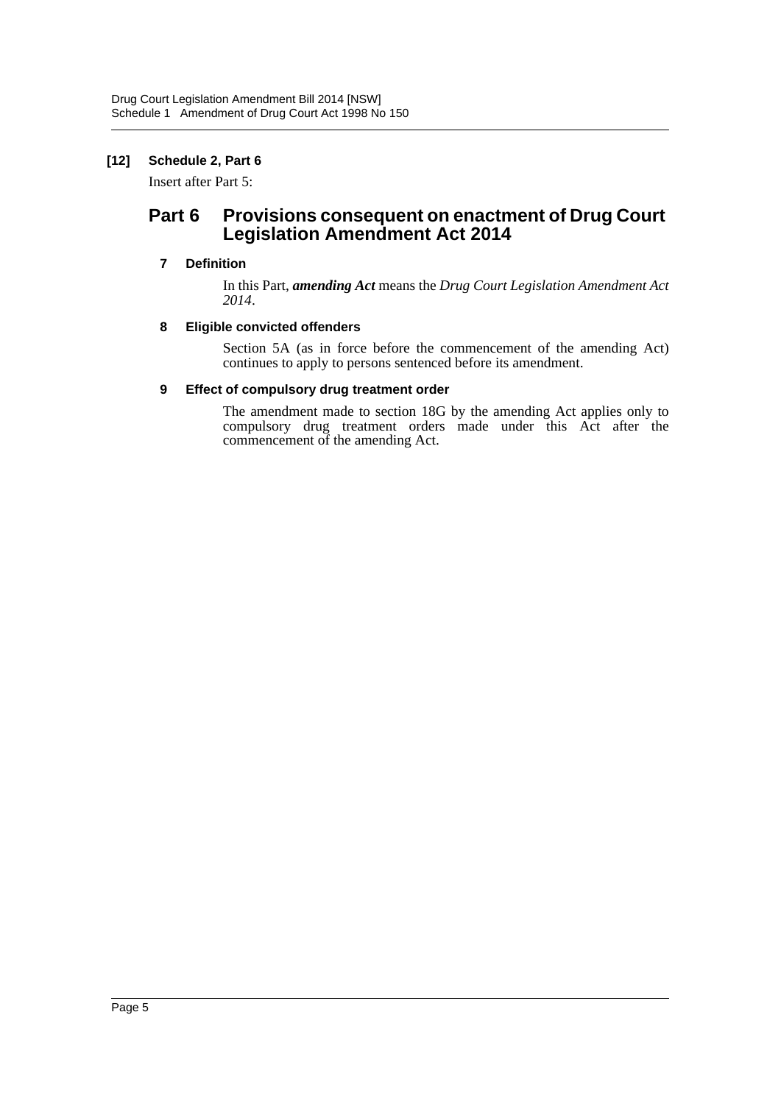# **[12] Schedule 2, Part 6**

Insert after Part 5:

# Part 6 Provisions consequent on enactment of Drug Court **Legislation Amendment Act 2014**

# **7 Definition**

In this Part, *amending Act* means the *Drug Court Legislation Amendment Act 2014*.

# **8 Eligible convicted offenders**

Section 5A (as in force before the commencement of the amending Act) continues to apply to persons sentenced before its amendment.

# **9 Effect of compulsory drug treatment order**

The amendment made to section 18G by the amending Act applies only to compulsory drug treatment orders made under this Act after the commencement of the amending Act.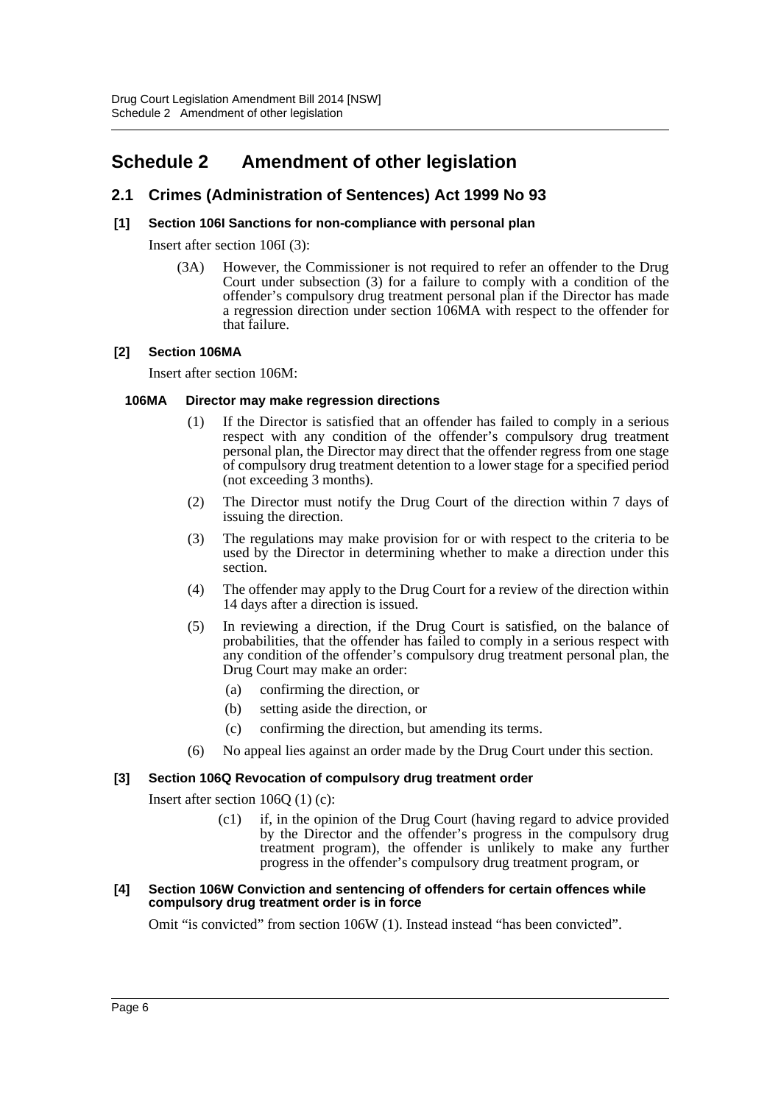# <span id="page-6-0"></span>**Schedule 2 Amendment of other legislation**

# **2.1 Crimes (Administration of Sentences) Act 1999 No 93**

# **[1] Section 106I Sanctions for non-compliance with personal plan**

Insert after section 106I (3):

(3A) However, the Commissioner is not required to refer an offender to the Drug Court under subsection (3) for a failure to comply with a condition of the offender's compulsory drug treatment personal plan if the Director has made a regression direction under section 106MA with respect to the offender for that failure.

# **[2] Section 106MA**

Insert after section 106M:

#### **106MA Director may make regression directions**

- (1) If the Director is satisfied that an offender has failed to comply in a serious respect with any condition of the offender's compulsory drug treatment personal plan, the Director may direct that the offender regress from one stage of compulsory drug treatment detention to a lower stage for a specified period (not exceeding 3 months).
- (2) The Director must notify the Drug Court of the direction within 7 days of issuing the direction.
- (3) The regulations may make provision for or with respect to the criteria to be used by the Director in determining whether to make a direction under this section.
- (4) The offender may apply to the Drug Court for a review of the direction within 14 days after a direction is issued.
- (5) In reviewing a direction, if the Drug Court is satisfied, on the balance of probabilities, that the offender has failed to comply in a serious respect with any condition of the offender's compulsory drug treatment personal plan, the Drug Court may make an order:
	- (a) confirming the direction, or
	- (b) setting aside the direction, or
	- (c) confirming the direction, but amending its terms.
- (6) No appeal lies against an order made by the Drug Court under this section.

#### **[3] Section 106Q Revocation of compulsory drug treatment order**

Insert after section 106Q (1) (c):

(c1) if, in the opinion of the Drug Court (having regard to advice provided by the Director and the offender's progress in the compulsory drug treatment program), the offender is unlikely to make any further progress in the offender's compulsory drug treatment program, or

#### **[4] Section 106W Conviction and sentencing of offenders for certain offences while compulsory drug treatment order is in force**

Omit "is convicted" from section 106W (1). Instead instead "has been convicted".